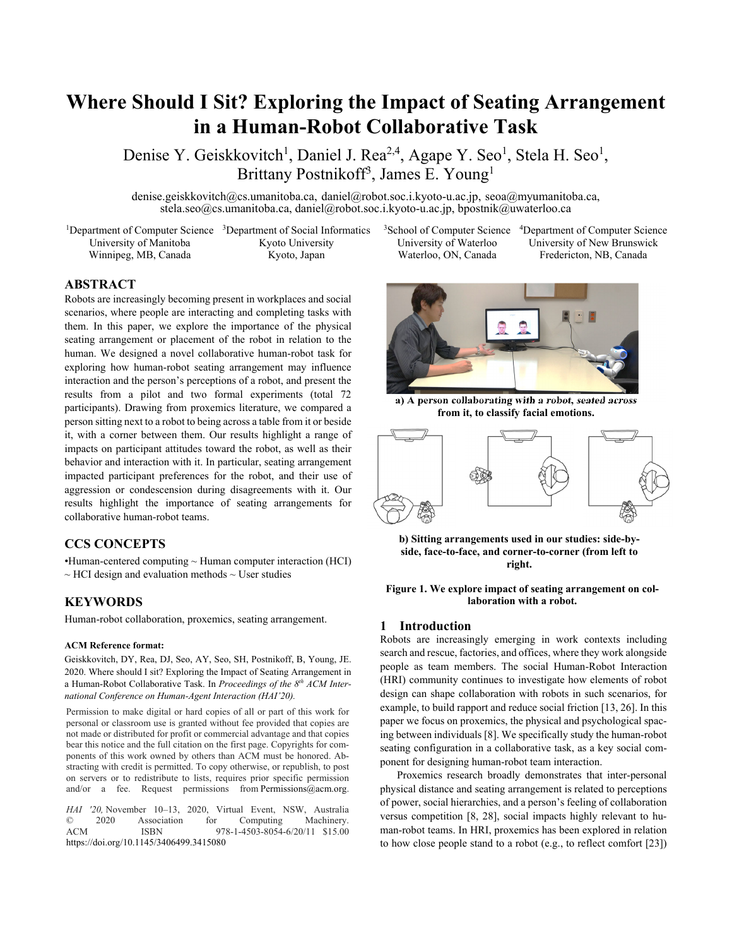# **Where Should I Sit? Exploring the Impact of Seating Arrangement in a Human-Robot Collaborative Task**

Denise Y. Geiskkovitch<sup>1</sup>, Daniel J. Rea<sup>2,4</sup>, Agape Y. Seo<sup>1</sup>, Stela H. Seo<sup>1</sup>, Brittany Postnikoff<sup>3</sup>, James E. Young<sup>1</sup>

denise.geiskkovitch@cs.umanitoba.ca, daniel@robot.soc.i.kyoto-u.ac.jp, seoa@myumanitoba.ca, stela.seo@cs.umanitoba.ca, daniel@robot.soc.i.kyoto-u.ac.jp, bpostnik@uwaterloo.ca

<sup>1</sup>Department of Computer Science <sup>3</sup>Department of Social Informatics University of Manitoba Winnipeg, MB, Canada Kyoto University Kyoto, Japan

3School of Computer Science University of Waterloo Waterloo, ON, Canada

4Department of Computer Science University of New Brunswick Fredericton, NB, Canada

# **ABSTRACT**

Robots are increasingly becoming present in workplaces and social scenarios, where people are interacting and completing tasks with them. In this paper, we explore the importance of the physical seating arrangement or placement of the robot in relation to the human. We designed a novel collaborative human-robot task for exploring how human-robot seating arrangement may influence interaction and the person's perceptions of a robot, and present the results from a pilot and two formal experiments (total 72 participants). Drawing from proxemics literature, we compared a person sitting next to a robot to being across a table from it or beside it, with a corner between them. Our results highlight a range of impacts on participant attitudes toward the robot, as well as their behavior and interaction with it. In particular, seating arrangement impacted participant preferences for the robot, and their use of aggression or condescension during disagreements with it. Our results highlight the importance of seating arrangements for collaborative human-robot teams.

# **CCS CONCEPTS**

•Human-centered computing ~ Human computer interaction (HCI)  $\sim$  HCI design and evaluation methods  $\sim$  User studies

# **KEYWORDS**

Human-robot collaboration, proxemics, seating arrangement.

#### **ACM Reference format:**

Geiskkovitch, DY, Rea, DJ, Seo, AY, Seo, SH, Postnikoff, B, Young, JE. 2020. Where should I sit? Exploring the Impact of Seating Arrangement in a Human-Robot Collaborative Task. In *Proceedings of the 8<sup>th</sup> ACM International Conference on Human-Agent Interaction (HAI'20).* 

Permission to make digital or hard copies of all or part of this work for personal or classroom use is granted without fee provided that copies are not made or distributed for profit or commercial advantage and that copies bear this notice and the full citation on the first page. Copyrights for components of this work owned by others than ACM must be honored. Abstracting with credit is permitted. To copy otherwise, or republish, to post on servers or to redistribute to lists, requires prior specific permission and/or a fee. Request permissions from Permissions@acm.org.

*HAI '20,* November 10–13, 2020, Virtual Event, NSW, Australia © 2020 Association for Computing Machinery. © 2020 Association for Computing Machinery. ACM ISBN 978-1-4503-8054-6/20/11 \$15.00 https://doi.org/10.1145/3406499.3415080



**a) A person collaborating with a robot, seated across from it, to classify facial emotions.** 



**b) Sitting arrangements used in our studies: side-byside, face-to-face, and corner-to-corner (from left to right.** 

**Figure 1. We explore impact of seating arrangement on collaboration with a robot.** 

# **1 Introduction**

Robots are increasingly emerging in work contexts including search and rescue, factories, and offices, where they work alongside people as team members. The social Human-Robot Interaction (HRI) community continues to investigate how elements of robot design can shape collaboration with robots in such scenarios, for example, to build rapport and reduce social friction [13, 26]. In this paper we focus on proxemics, the physical and psychological spacing between individuals [8]. We specifically study the human-robot seating configuration in a collaborative task, as a key social component for designing human-robot team interaction.

Proxemics research broadly demonstrates that inter-personal physical distance and seating arrangement is related to perceptions of power, social hierarchies, and a person's feeling of collaboration versus competition [8, 28], social impacts highly relevant to human-robot teams. In HRI, proxemics has been explored in relation to how close people stand to a robot (e.g., to reflect comfort [23])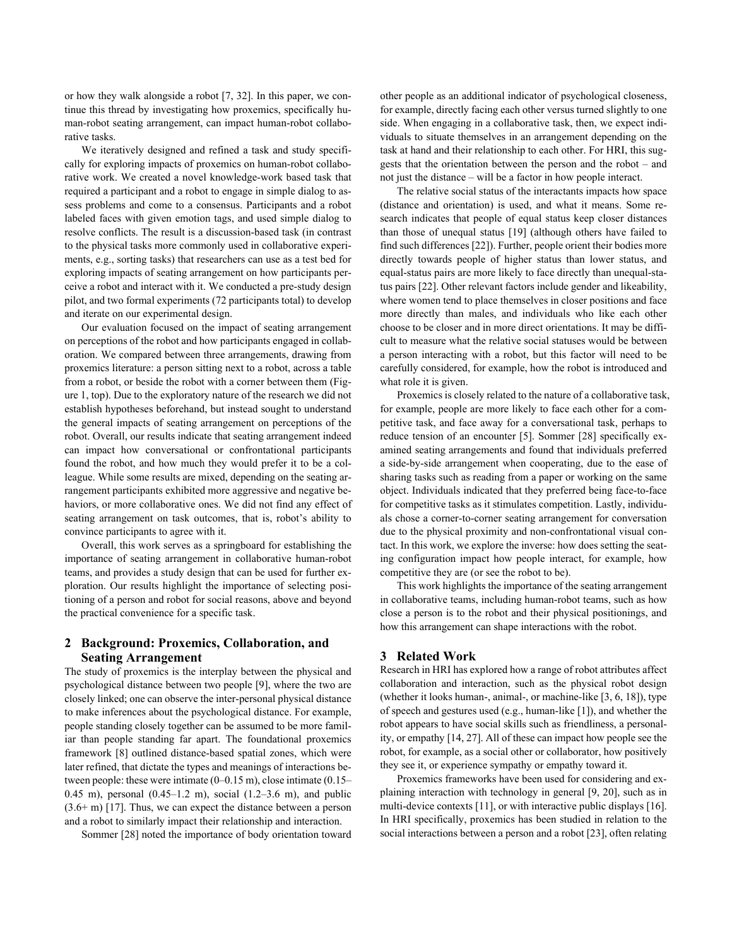or how they walk alongside a robot [7, 32]. In this paper, we continue this thread by investigating how proxemics, specifically human-robot seating arrangement, can impact human-robot collaborative tasks.

We iteratively designed and refined a task and study specifically for exploring impacts of proxemics on human-robot collaborative work. We created a novel knowledge-work based task that required a participant and a robot to engage in simple dialog to assess problems and come to a consensus. Participants and a robot labeled faces with given emotion tags, and used simple dialog to resolve conflicts. The result is a discussion-based task (in contrast to the physical tasks more commonly used in collaborative experiments, e.g., sorting tasks) that researchers can use as a test bed for exploring impacts of seating arrangement on how participants perceive a robot and interact with it. We conducted a pre-study design pilot, and two formal experiments (72 participants total) to develop and iterate on our experimental design.

Our evaluation focused on the impact of seating arrangement on perceptions of the robot and how participants engaged in collaboration. We compared between three arrangements, drawing from proxemics literature: a person sitting next to a robot, across a table from a robot, or beside the robot with a corner between them (Figure 1, top). Due to the exploratory nature of the research we did not establish hypotheses beforehand, but instead sought to understand the general impacts of seating arrangement on perceptions of the robot. Overall, our results indicate that seating arrangement indeed can impact how conversational or confrontational participants found the robot, and how much they would prefer it to be a colleague. While some results are mixed, depending on the seating arrangement participants exhibited more aggressive and negative behaviors, or more collaborative ones. We did not find any effect of seating arrangement on task outcomes, that is, robot's ability to convince participants to agree with it.

Overall, this work serves as a springboard for establishing the importance of seating arrangement in collaborative human-robot teams, and provides a study design that can be used for further exploration. Our results highlight the importance of selecting positioning of a person and robot for social reasons, above and beyond the practical convenience for a specific task.

# **2 Background: Proxemics, Collaboration, and Seating Arrangement**

The study of proxemics is the interplay between the physical and psychological distance between two people [9], where the two are closely linked; one can observe the inter-personal physical distance to make inferences about the psychological distance. For example, people standing closely together can be assumed to be more familiar than people standing far apart. The foundational proxemics framework [8] outlined distance-based spatial zones, which were later refined, that dictate the types and meanings of interactions between people: these were intimate (0–0.15 m), close intimate (0.15– 0.45 m), personal (0.45–1.2 m), social (1.2–3.6 m), and public  $(3.6+m)$  [17]. Thus, we can expect the distance between a person and a robot to similarly impact their relationship and interaction.

Sommer [28] noted the importance of body orientation toward

other people as an additional indicator of psychological closeness, for example, directly facing each other versus turned slightly to one side. When engaging in a collaborative task, then, we expect individuals to situate themselves in an arrangement depending on the task at hand and their relationship to each other. For HRI, this suggests that the orientation between the person and the robot – and not just the distance – will be a factor in how people interact.

The relative social status of the interactants impacts how space (distance and orientation) is used, and what it means. Some research indicates that people of equal status keep closer distances than those of unequal status [19] (although others have failed to find such differences [22]). Further, people orient their bodies more directly towards people of higher status than lower status, and equal-status pairs are more likely to face directly than unequal-status pairs [22]. Other relevant factors include gender and likeability, where women tend to place themselves in closer positions and face more directly than males, and individuals who like each other choose to be closer and in more direct orientations. It may be difficult to measure what the relative social statuses would be between a person interacting with a robot, but this factor will need to be carefully considered, for example, how the robot is introduced and what role it is given.

Proxemics is closely related to the nature of a collaborative task, for example, people are more likely to face each other for a competitive task, and face away for a conversational task, perhaps to reduce tension of an encounter [5]. Sommer [28] specifically examined seating arrangements and found that individuals preferred a side-by-side arrangement when cooperating, due to the ease of sharing tasks such as reading from a paper or working on the same object. Individuals indicated that they preferred being face-to-face for competitive tasks as it stimulates competition. Lastly, individuals chose a corner-to-corner seating arrangement for conversation due to the physical proximity and non-confrontational visual contact. In this work, we explore the inverse: how does setting the seating configuration impact how people interact, for example, how competitive they are (or see the robot to be).

This work highlights the importance of the seating arrangement in collaborative teams, including human-robot teams, such as how close a person is to the robot and their physical positionings, and how this arrangement can shape interactions with the robot.

# **3 Related Work**

Research in HRI has explored how a range of robot attributes affect collaboration and interaction, such as the physical robot design (whether it looks human-, animal-, or machine-like [3, 6, 18]), type of speech and gestures used (e.g., human-like [1]), and whether the robot appears to have social skills such as friendliness, a personality, or empathy [14, 27]. All of these can impact how people see the robot, for example, as a social other or collaborator, how positively they see it, or experience sympathy or empathy toward it.

Proxemics frameworks have been used for considering and explaining interaction with technology in general [9, 20], such as in multi-device contexts [11], or with interactive public displays [16]. In HRI specifically, proxemics has been studied in relation to the social interactions between a person and a robot [23], often relating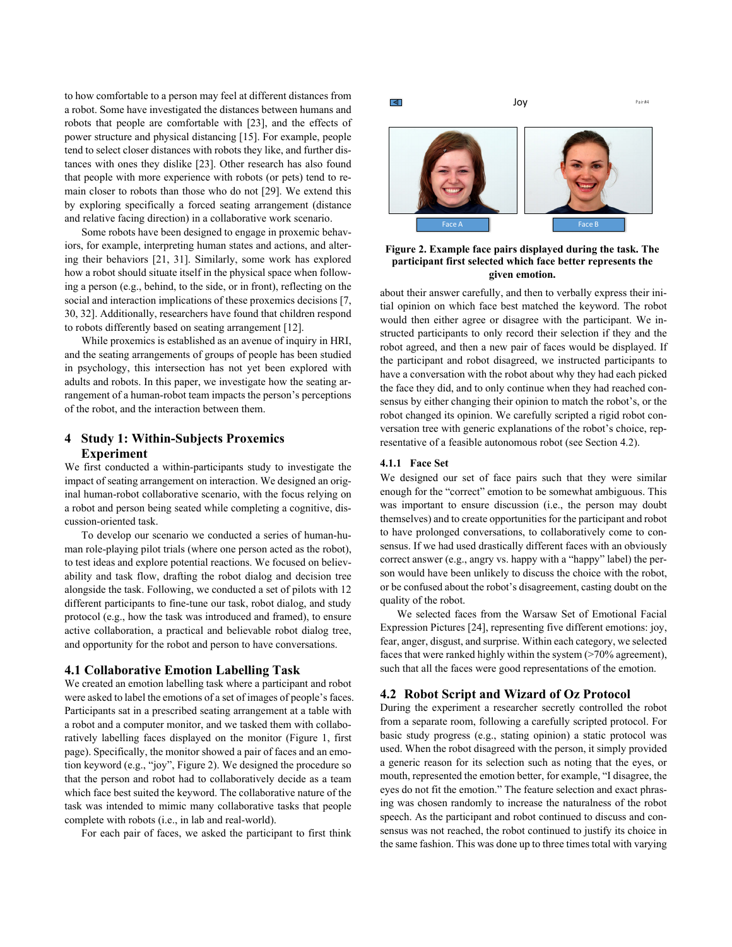to how comfortable to a person may feel at different distances from a robot. Some have investigated the distances between humans and robots that people are comfortable with [23], and the effects of power structure and physical distancing [15]. For example, people tend to select closer distances with robots they like, and further distances with ones they dislike [23]. Other research has also found that people with more experience with robots (or pets) tend to remain closer to robots than those who do not [29]. We extend this by exploring specifically a forced seating arrangement (distance and relative facing direction) in a collaborative work scenario.

Some robots have been designed to engage in proxemic behaviors, for example, interpreting human states and actions, and altering their behaviors [21, 31]. Similarly, some work has explored how a robot should situate itself in the physical space when following a person (e.g., behind, to the side, or in front), reflecting on the social and interaction implications of these proxemics decisions [7, 30, 32]. Additionally, researchers have found that children respond to robots differently based on seating arrangement [12].

While proxemics is established as an avenue of inquiry in HRI, and the seating arrangements of groups of people has been studied in psychology, this intersection has not yet been explored with adults and robots. In this paper, we investigate how the seating arrangement of a human-robot team impacts the person's perceptions of the robot, and the interaction between them.

# **4 Study 1: Within-Subjects Proxemics Experiment**

We first conducted a within-participants study to investigate the impact of seating arrangement on interaction. We designed an original human-robot collaborative scenario, with the focus relying on a robot and person being seated while completing a cognitive, discussion-oriented task.

To develop our scenario we conducted a series of human-human role-playing pilot trials (where one person acted as the robot), to test ideas and explore potential reactions. We focused on believability and task flow, drafting the robot dialog and decision tree alongside the task. Following, we conducted a set of pilots with 12 different participants to fine-tune our task, robot dialog, and study protocol (e.g., how the task was introduced and framed), to ensure active collaboration, a practical and believable robot dialog tree, and opportunity for the robot and person to have conversations.

## **4.1 Collaborative Emotion Labelling Task**

We created an emotion labelling task where a participant and robot were asked to label the emotions of a set of images of people's faces. Participants sat in a prescribed seating arrangement at a table with a robot and a computer monitor, and we tasked them with collaboratively labelling faces displayed on the monitor (Figure 1, first page). Specifically, the monitor showed a pair of faces and an emotion keyword (e.g., "joy", Figure 2). We designed the procedure so that the person and robot had to collaboratively decide as a team which face best suited the keyword. The collaborative nature of the task was intended to mimic many collaborative tasks that people complete with robots (i.e., in lab and real-world).

For each pair of faces, we asked the participant to first think

ৰে



Joy

Pair #4

#### **Figure 2. Example face pairs displayed during the task. The participant first selected which face better represents the given emotion.**

about their answer carefully, and then to verbally express their initial opinion on which face best matched the keyword. The robot would then either agree or disagree with the participant. We instructed participants to only record their selection if they and the robot agreed, and then a new pair of faces would be displayed. If the participant and robot disagreed, we instructed participants to have a conversation with the robot about why they had each picked the face they did, and to only continue when they had reached consensus by either changing their opinion to match the robot's, or the robot changed its opinion. We carefully scripted a rigid robot conversation tree with generic explanations of the robot's choice, representative of a feasible autonomous robot (see Section 4.2).

#### **4.1.1 Face Set**

We designed our set of face pairs such that they were similar enough for the "correct" emotion to be somewhat ambiguous. This was important to ensure discussion (i.e., the person may doubt themselves) and to create opportunities for the participant and robot to have prolonged conversations, to collaboratively come to consensus. If we had used drastically different faces with an obviously correct answer (e.g., angry vs. happy with a "happy" label) the person would have been unlikely to discuss the choice with the robot, or be confused about the robot's disagreement, casting doubt on the quality of the robot.

We selected faces from the Warsaw Set of Emotional Facial Expression Pictures [24], representing five different emotions: joy, fear, anger, disgust, and surprise. Within each category, we selected faces that were ranked highly within the system (>70% agreement), such that all the faces were good representations of the emotion.

#### **4.2 Robot Script and Wizard of Oz Protocol**

During the experiment a researcher secretly controlled the robot from a separate room, following a carefully scripted protocol. For basic study progress (e.g., stating opinion) a static protocol was used. When the robot disagreed with the person, it simply provided a generic reason for its selection such as noting that the eyes, or mouth, represented the emotion better, for example, "I disagree, the eyes do not fit the emotion." The feature selection and exact phrasing was chosen randomly to increase the naturalness of the robot speech. As the participant and robot continued to discuss and consensus was not reached, the robot continued to justify its choice in the same fashion. This was done up to three times total with varying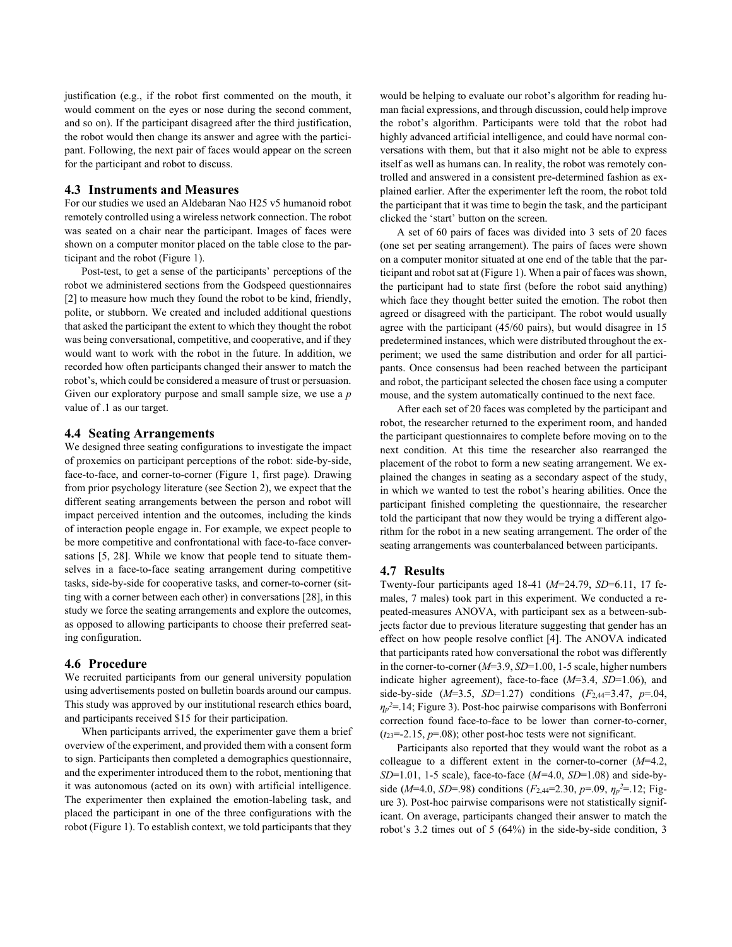justification (e.g., if the robot first commented on the mouth, it would comment on the eyes or nose during the second comment, and so on). If the participant disagreed after the third justification, the robot would then change its answer and agree with the participant. Following, the next pair of faces would appear on the screen for the participant and robot to discuss.

# **4.3 Instruments and Measures**

For our studies we used an Aldebaran Nao H25 v5 humanoid robot remotely controlled using a wireless network connection. The robot was seated on a chair near the participant. Images of faces were shown on a computer monitor placed on the table close to the participant and the robot (Figure 1).

Post-test, to get a sense of the participants' perceptions of the robot we administered sections from the Godspeed questionnaires [2] to measure how much they found the robot to be kind, friendly, polite, or stubborn. We created and included additional questions that asked the participant the extent to which they thought the robot was being conversational, competitive, and cooperative, and if they would want to work with the robot in the future. In addition, we recorded how often participants changed their answer to match the robot's, which could be considered a measure of trust or persuasion. Given our exploratory purpose and small sample size, we use a *p* value of .1 as our target.

#### **4.4 Seating Arrangements**

We designed three seating configurations to investigate the impact of proxemics on participant perceptions of the robot: side-by-side, face-to-face, and corner-to-corner (Figure 1, first page). Drawing from prior psychology literature (see Section 2), we expect that the different seating arrangements between the person and robot will impact perceived intention and the outcomes, including the kinds of interaction people engage in. For example, we expect people to be more competitive and confrontational with face-to-face conversations [5, 28]. While we know that people tend to situate themselves in a face-to-face seating arrangement during competitive tasks, side-by-side for cooperative tasks, and corner-to-corner (sitting with a corner between each other) in conversations [28], in this study we force the seating arrangements and explore the outcomes, as opposed to allowing participants to choose their preferred seating configuration.

#### **4.6 Procedure**

We recruited participants from our general university population using advertisements posted on bulletin boards around our campus. This study was approved by our institutional research ethics board, and participants received \$15 for their participation.

When participants arrived, the experimenter gave them a brief overview of the experiment, and provided them with a consent form to sign. Participants then completed a demographics questionnaire, and the experimenter introduced them to the robot, mentioning that it was autonomous (acted on its own) with artificial intelligence. The experimenter then explained the emotion-labeling task, and placed the participant in one of the three configurations with the robot (Figure 1). To establish context, we told participants that they

would be helping to evaluate our robot's algorithm for reading human facial expressions, and through discussion, could help improve the robot's algorithm. Participants were told that the robot had highly advanced artificial intelligence, and could have normal conversations with them, but that it also might not be able to express itself as well as humans can. In reality, the robot was remotely controlled and answered in a consistent pre-determined fashion as explained earlier. After the experimenter left the room, the robot told the participant that it was time to begin the task, and the participant clicked the 'start' button on the screen.

A set of 60 pairs of faces was divided into 3 sets of 20 faces (one set per seating arrangement). The pairs of faces were shown on a computer monitor situated at one end of the table that the participant and robot sat at (Figure 1). When a pair of faces was shown, the participant had to state first (before the robot said anything) which face they thought better suited the emotion. The robot then agreed or disagreed with the participant. The robot would usually agree with the participant (45/60 pairs), but would disagree in 15 predetermined instances, which were distributed throughout the experiment; we used the same distribution and order for all participants. Once consensus had been reached between the participant and robot, the participant selected the chosen face using a computer mouse, and the system automatically continued to the next face.

After each set of 20 faces was completed by the participant and robot, the researcher returned to the experiment room, and handed the participant questionnaires to complete before moving on to the next condition. At this time the researcher also rearranged the placement of the robot to form a new seating arrangement. We explained the changes in seating as a secondary aspect of the study, in which we wanted to test the robot's hearing abilities. Once the participant finished completing the questionnaire, the researcher told the participant that now they would be trying a different algorithm for the robot in a new seating arrangement. The order of the seating arrangements was counterbalanced between participants.

#### **4.7 Results**

Twenty-four participants aged 18-41 (*M*=24.79, *SD*=6.11, 17 females, 7 males) took part in this experiment. We conducted a repeated-measures ANOVA, with participant sex as a between-subjects factor due to previous literature suggesting that gender has an effect on how people resolve conflict [4]. The ANOVA indicated that participants rated how conversational the robot was differently in the corner-to-corner (*M*=3.9, *SD*=1.00, 1-5 scale, higher numbers indicate higher agreement), face-to-face (*M*=3.4, *SD*=1.06), and side-by-side (*M*=3.5, *SD*=1.27) conditions (*F*2,44=3.47, *p*=.04, *ηp <sup>2</sup>*=.14; Figure 3). Post-hoc pairwise comparisons with Bonferroni correction found face-to-face to be lower than corner-to-corner,  $(t_{23}=-2.15, p=.08)$ ; other post-hoc tests were not significant.

Participants also reported that they would want the robot as a colleague to a different extent in the corner-to-corner (*M*=4.2, *SD*=1.01, 1-5 scale), face-to-face (*M=*4.0, *SD*=1.08) and side-byside ( $M=4.0$ ,  $SD=98$ ) conditions ( $F_{2,44}=2.30$ ,  $p=.09$ ,  $\eta_p^2=.12$ ; Figure 3). Post-hoc pairwise comparisons were not statistically significant. On average, participants changed their answer to match the robot's 3.2 times out of 5 (64%) in the side-by-side condition, 3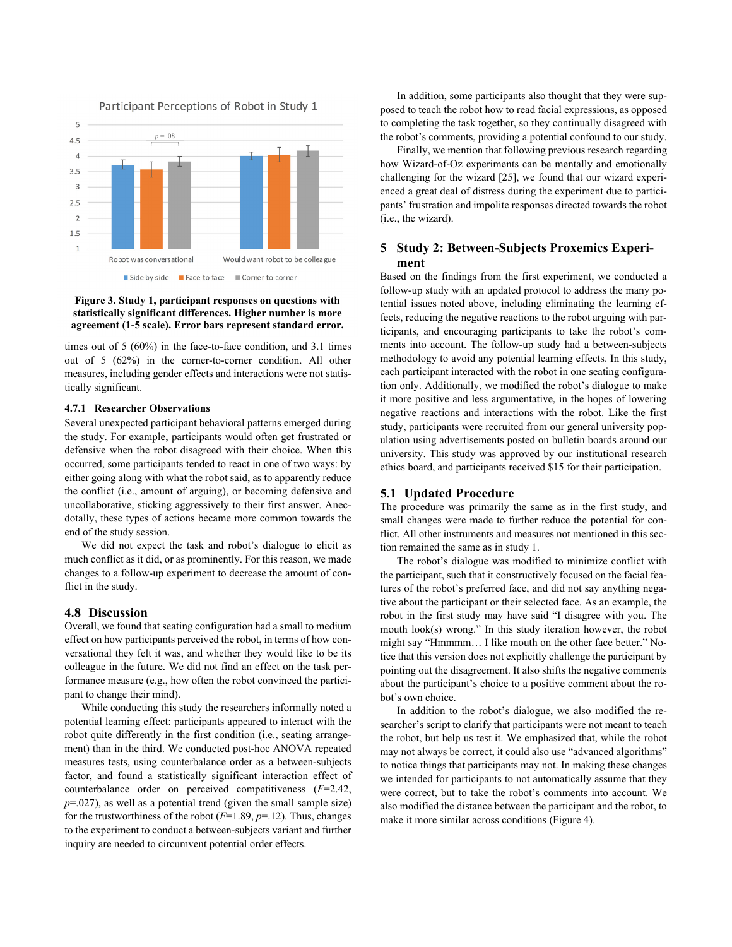

### **Figure 3. Study 1, participant responses on questions with statistically significant differences. Higher number is more agreement (1-5 scale). Error bars represent standard error.**

times out of 5 (60%) in the face-to-face condition, and 3.1 times out of 5 (62%) in the corner-to-corner condition. All other measures, including gender effects and interactions were not statistically significant.

#### **4.7.1 Researcher Observations**

Several unexpected participant behavioral patterns emerged during the study. For example, participants would often get frustrated or defensive when the robot disagreed with their choice. When this occurred, some participants tended to react in one of two ways: by either going along with what the robot said, as to apparently reduce the conflict (i.e., amount of arguing), or becoming defensive and uncollaborative, sticking aggressively to their first answer. Anecdotally, these types of actions became more common towards the end of the study session.

We did not expect the task and robot's dialogue to elicit as much conflict as it did, or as prominently. For this reason, we made changes to a follow-up experiment to decrease the amount of conflict in the study.

## **4.8 Discussion**

Overall, we found that seating configuration had a small to medium effect on how participants perceived the robot, in terms of how conversational they felt it was, and whether they would like to be its colleague in the future. We did not find an effect on the task performance measure (e.g., how often the robot convinced the participant to change their mind).

While conducting this study the researchers informally noted a potential learning effect: participants appeared to interact with the robot quite differently in the first condition (i.e., seating arrangement) than in the third. We conducted post-hoc ANOVA repeated measures tests, using counterbalance order as a between-subjects factor, and found a statistically significant interaction effect of counterbalance order on perceived competitiveness (*F*=2.42, *p*=.027), as well as a potential trend (given the small sample size) for the trustworthiness of the robot (*F*=1.89, *p*=.12). Thus, changes to the experiment to conduct a between-subjects variant and further inquiry are needed to circumvent potential order effects.

In addition, some participants also thought that they were supposed to teach the robot how to read facial expressions, as opposed to completing the task together, so they continually disagreed with the robot's comments, providing a potential confound to our study.

Finally, we mention that following previous research regarding how Wizard-of-Oz experiments can be mentally and emotionally challenging for the wizard [25], we found that our wizard experienced a great deal of distress during the experiment due to participants' frustration and impolite responses directed towards the robot (i.e., the wizard).

# **5 Study 2: Between-Subjects Proxemics Experiment**

Based on the findings from the first experiment, we conducted a follow-up study with an updated protocol to address the many potential issues noted above, including eliminating the learning effects, reducing the negative reactions to the robot arguing with participants, and encouraging participants to take the robot's comments into account. The follow-up study had a between-subjects methodology to avoid any potential learning effects. In this study, each participant interacted with the robot in one seating configuration only. Additionally, we modified the robot's dialogue to make it more positive and less argumentative, in the hopes of lowering negative reactions and interactions with the robot. Like the first study, participants were recruited from our general university population using advertisements posted on bulletin boards around our university. This study was approved by our institutional research ethics board, and participants received \$15 for their participation.

# **5.1 Updated Procedure**

The procedure was primarily the same as in the first study, and small changes were made to further reduce the potential for conflict. All other instruments and measures not mentioned in this section remained the same as in study 1.

The robot's dialogue was modified to minimize conflict with the participant, such that it constructively focused on the facial features of the robot's preferred face, and did not say anything negative about the participant or their selected face. As an example, the robot in the first study may have said "I disagree with you. The mouth look(s) wrong." In this study iteration however, the robot might say "Hmmmm… I like mouth on the other face better." Notice that this version does not explicitly challenge the participant by pointing out the disagreement. It also shifts the negative comments about the participant's choice to a positive comment about the robot's own choice.

In addition to the robot's dialogue, we also modified the researcher's script to clarify that participants were not meant to teach the robot, but help us test it. We emphasized that, while the robot may not always be correct, it could also use "advanced algorithms" to notice things that participants may not. In making these changes we intended for participants to not automatically assume that they were correct, but to take the robot's comments into account. We also modified the distance between the participant and the robot, to make it more similar across conditions (Figure 4).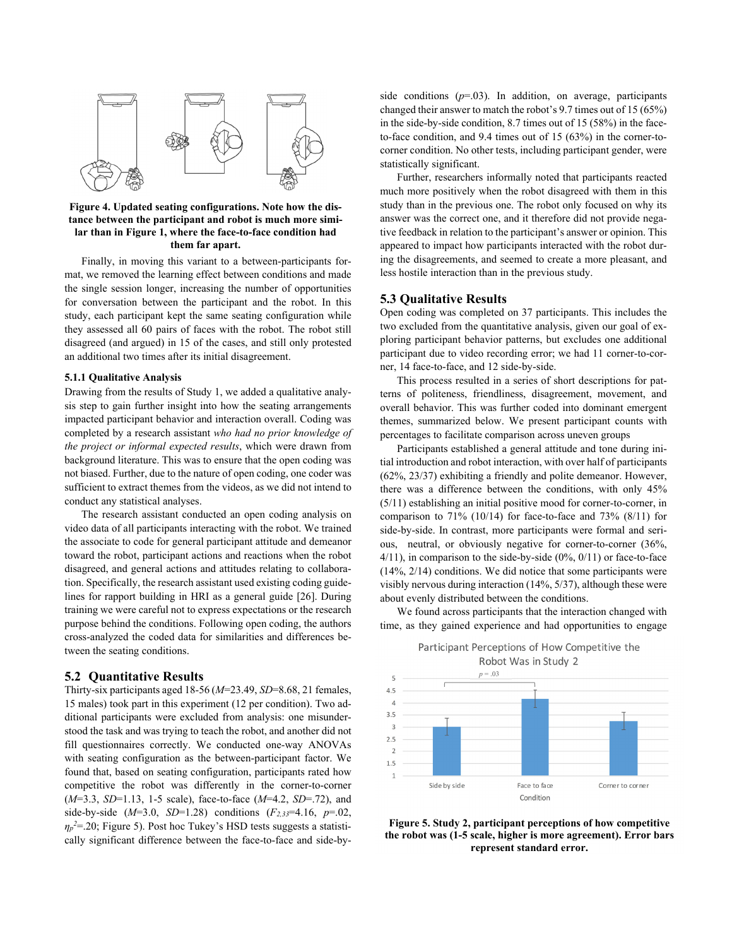

#### **Figure 4. Updated seating configurations. Note how the distance between the participant and robot is much more similar than in Figure 1, where the face-to-face condition had them far apart.**

Finally, in moving this variant to a between-participants format, we removed the learning effect between conditions and made the single session longer, increasing the number of opportunities for conversation between the participant and the robot. In this study, each participant kept the same seating configuration while they assessed all 60 pairs of faces with the robot. The robot still disagreed (and argued) in 15 of the cases, and still only protested an additional two times after its initial disagreement.

#### **5.1.1 Qualitative Analysis**

Drawing from the results of Study 1, we added a qualitative analysis step to gain further insight into how the seating arrangements impacted participant behavior and interaction overall. Coding was completed by a research assistant *who had no prior knowledge of the project or informal expected results*, which were drawn from background literature. This was to ensure that the open coding was not biased. Further, due to the nature of open coding, one coder was sufficient to extract themes from the videos, as we did not intend to conduct any statistical analyses.

The research assistant conducted an open coding analysis on video data of all participants interacting with the robot. We trained the associate to code for general participant attitude and demeanor toward the robot, participant actions and reactions when the robot disagreed, and general actions and attitudes relating to collaboration. Specifically, the research assistant used existing coding guidelines for rapport building in HRI as a general guide [26]. During training we were careful not to express expectations or the research purpose behind the conditions. Following open coding, the authors cross-analyzed the coded data for similarities and differences between the seating conditions.

# **5.2 Quantitative Results**

Thirty-six participants aged 18-56 (*M*=23.49, *SD*=8.68, 21 females, 15 males) took part in this experiment (12 per condition). Two additional participants were excluded from analysis: one misunderstood the task and was trying to teach the robot, and another did not fill questionnaires correctly. We conducted one-way ANOVAs with seating configuration as the between-participant factor. We found that, based on seating configuration, participants rated how competitive the robot was differently in the corner-to-corner (*M*=3.3, *SD*=1.13, 1-5 scale), face-to-face (*M*=4.2, *SD*=.72), and side-by-side  $(M=3.0, SD=1.28)$  conditions  $(F_{2,33}=4.16, p=.02)$ , *ηp 2*=.20; Figure 5). Post hoc Tukey's HSD tests suggests a statistically significant difference between the face-to-face and side-byside conditions  $(p=0.03)$ . In addition, on average, participants changed their answer to match the robot's 9.7 times out of 15 (65%) in the side-by-side condition, 8.7 times out of 15 (58%) in the faceto-face condition, and 9.4 times out of 15 (63%) in the corner-tocorner condition. No other tests, including participant gender, were statistically significant.

Further, researchers informally noted that participants reacted much more positively when the robot disagreed with them in this study than in the previous one. The robot only focused on why its answer was the correct one, and it therefore did not provide negative feedback in relation to the participant's answer or opinion. This appeared to impact how participants interacted with the robot during the disagreements, and seemed to create a more pleasant, and less hostile interaction than in the previous study.

#### **5.3 Qualitative Results**

Open coding was completed on 37 participants. This includes the two excluded from the quantitative analysis, given our goal of exploring participant behavior patterns, but excludes one additional participant due to video recording error; we had 11 corner-to-corner, 14 face-to-face, and 12 side-by-side.

This process resulted in a series of short descriptions for patterns of politeness, friendliness, disagreement, movement, and overall behavior. This was further coded into dominant emergent themes, summarized below. We present participant counts with percentages to facilitate comparison across uneven groups

Participants established a general attitude and tone during initial introduction and robot interaction, with over half of participants (62%, 23/37) exhibiting a friendly and polite demeanor. However, there was a difference between the conditions, with only 45% (5/11) establishing an initial positive mood for corner-to-corner, in comparison to 71% (10/14) for face-to-face and 73% (8/11) for side-by-side. In contrast, more participants were formal and serious, neutral, or obviously negative for corner-to-corner (36%, 4/11), in comparison to the side-by-side (0%, 0/11) or face-to-face (14%, 2/14) conditions. We did notice that some participants were visibly nervous during interaction (14%, 5/37), although these were about evenly distributed between the conditions.

We found across participants that the interaction changed with time, as they gained experience and had opportunities to engage

Participant Perceptions of How Competitive the Robot Was in Study 2



**Figure 5. Study 2, participant perceptions of how competitive the robot was (1-5 scale, higher is more agreement). Error bars represent standard error.**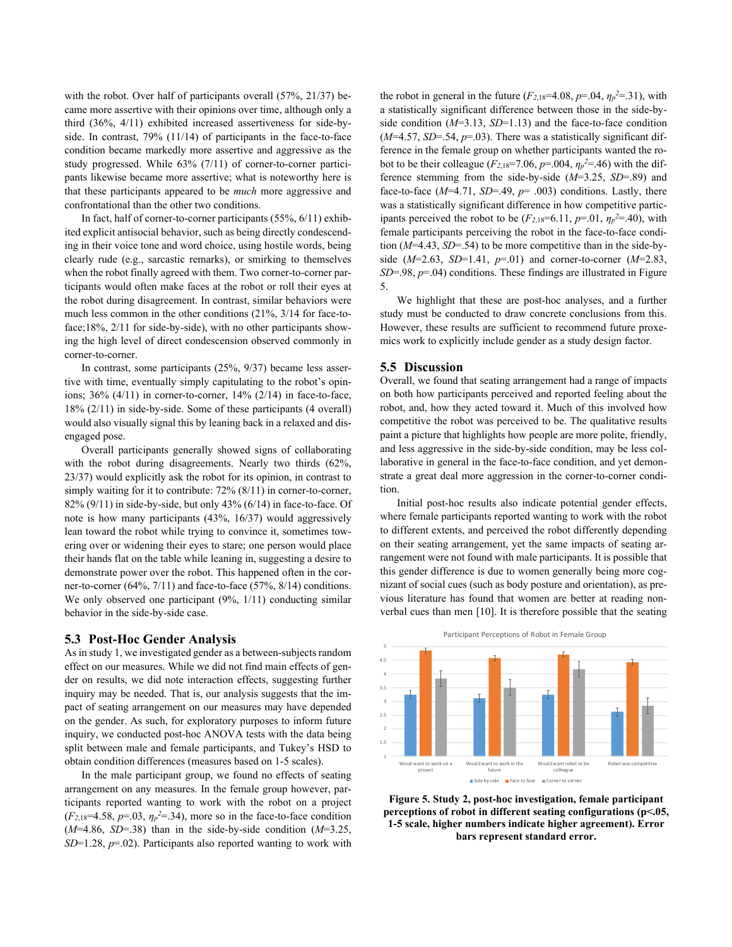with the robot. Over half of participants overall (57%, 21/37) became more assertive with their opinions over time, although only a third (36%, 4/11) exhibited increased assertiveness for side-byside. In contrast, 79% (11/14) of participants in the face-to-face condition became markedly more assertive and aggressive as the study progressed. While 63% (7/11) of corner-to-corner participants likewise became more assertive; what is noteworthy here is that these participants appeared to be *much* more aggressive and confrontational than the other two conditions.

In fact, half of corner-to-corner participants (55%, 6/11) exhibited explicit antisocial behavior, such as being directly condescending in their voice tone and word choice, using hostile words, being clearly rude (e.g., sarcastic remarks), or smirking to themselves when the robot finally agreed with them. Two corner-to-corner participants would often make faces at the robot or roll their eyes at the robot during disagreement. In contrast, similar behaviors were much less common in the other conditions (21%, 3/14 for face-toface;18%, 2/11 for side-by-side), with no other participants showing the high level of direct condescension observed commonly in corner-to-corner.

In contrast, some participants (25%, 9/37) became less assertive with time, eventually simply capitulating to the robot's opinions; 36% (4/11) in corner-to-corner, 14% (2/14) in face-to-face, 18% (2/11) in side-by-side. Some of these participants (4 overall) would also visually signal this by leaning back in a relaxed and disengaged pose.

Overall participants generally showed signs of collaborating with the robot during disagreements. Nearly two thirds (62%, 23/37) would explicitly ask the robot for its opinion, in contrast to simply waiting for it to contribute: 72% (8/11) in corner-to-corner, 82% (9/11) in side-by-side, but only 43% (6/14) in face-to-face. Of note is how many participants (43%, 16/37) would aggressively lean toward the robot while trying to convince it, sometimes towering over or widening their eyes to stare; one person would place their hands flat on the table while leaning in, suggesting a desire to demonstrate power over the robot. This happened often in the corner-to-corner (64%, 7/11) and face-to-face (57%, 8/14) conditions. We only observed one participant (9%, 1/11) conducting similar behavior in the side-by-side case.

#### **5.3 Post-Hoc Gender Analysis**

As in study 1, we investigated gender as a between-subjects random effect on our measures. While we did not find main effects of gender on results, we did note interaction effects, suggesting further inquiry may be needed. That is, our analysis suggests that the impact of seating arrangement on our measures may have depended on the gender. As such, for exploratory purposes to inform future inquiry, we conducted post-hoc ANOVA tests with the data being split between male and female participants, and Tukey's HSD to obtain condition differences (measures based on 1-5 scales).

In the male participant group, we found no effects of seating arrangement on any measures. In the female group however, participants reported wanting to work with the robot on a project  $(F_{2,18}=4.58, p=.03, \eta_p^2=.34)$ , more so in the face-to-face condition (*M*=4.86, *SD*=.38) than in the side-by-side condition (*M*=3.25, *SD*=1.28, *p*=.02). Participants also reported wanting to work with

the robot in general in the future  $(F_{2,18}=4.08, p=.04, \eta_p^2=.31)$ , with a statistically significant difference between those in the side-byside condition  $(M=3.13, SD=1.13)$  and the face-to-face condition  $(M=4.57, SD=0.54, p=.03)$ . There was a statistically significant difference in the female group on whether participants wanted the robot to be their colleague ( $F_{2,18}$ =7.06,  $p$ =.004,  $\eta_p$ <sup>2</sup>=.46) with the difference stemming from the side-by-side (*M*=3.25, *SD*=.89) and face-to-face  $(M=4.71, SD=.49, p=.003)$  conditions. Lastly, there was a statistically significant difference in how competitive participants perceived the robot to be  $(F_{2,18}=6.11, p=.01, \eta_p^2=.40)$ , with female participants perceiving the robot in the face-to-face condition (*M*=4.43, *SD*=.54) to be more competitive than in the side-byside (*M*=2.63, *SD*=1.41, *p*=.01) and corner-to-corner (*M*=2.83, *SD*=.98, *p*=.04) conditions. These findings are illustrated in Figure 5.

We highlight that these are post-hoc analyses, and a further study must be conducted to draw concrete conclusions from this. However, these results are sufficient to recommend future proxemics work to explicitly include gender as a study design factor.

# **5.5 Discussion**

Overall, we found that seating arrangement had a range of impacts on both how participants perceived and reported feeling about the robot, and, how they acted toward it. Much of this involved how competitive the robot was perceived to be. The qualitative results paint a picture that highlights how people are more polite, friendly, and less aggressive in the side-by-side condition, may be less collaborative in general in the face-to-face condition, and yet demonstrate a great deal more aggression in the corner-to-corner condition.

Initial post-hoc results also indicate potential gender effects, where female participants reported wanting to work with the robot to different extents, and perceived the robot differently depending on their seating arrangement, yet the same impacts of seating arrangement were not found with male participants. It is possible that this gender difference is due to women generally being more cognizant of social cues (such as body posture and orientation), as previous literature has found that women are better at reading nonverbal cues than men [10]. It is therefore possible that the seating



**Figure 5. Study 2, post-hoc investigation, female participant perceptions of robot in different seating configurations (p<.05, 1-5 scale, higher numbers indicate higher agreement). Error bars represent standard error.**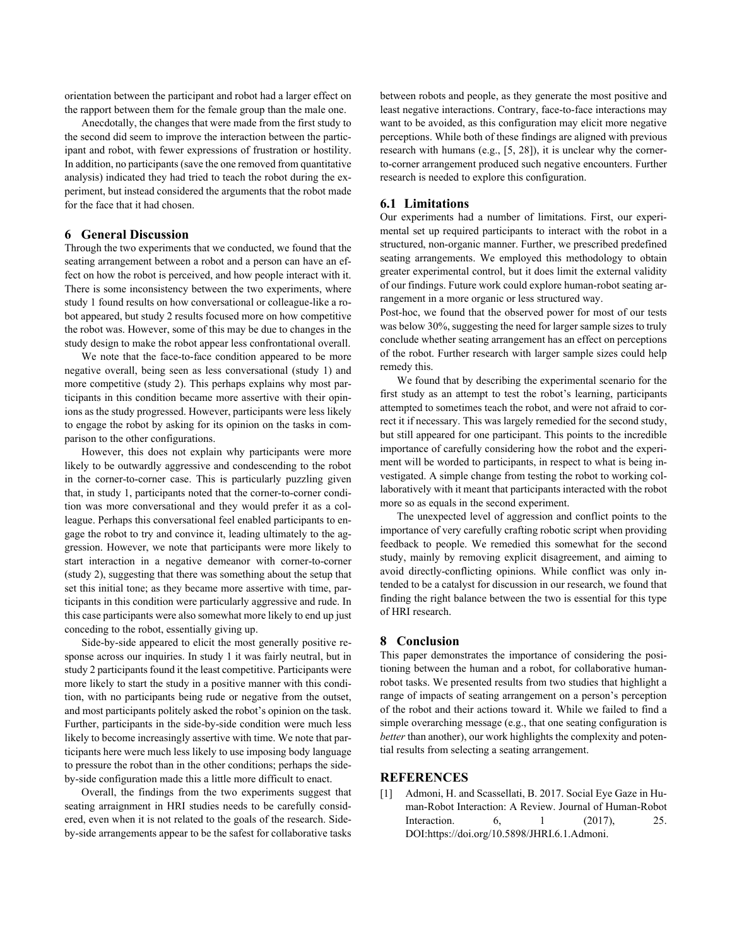orientation between the participant and robot had a larger effect on the rapport between them for the female group than the male one.

Anecdotally, the changes that were made from the first study to the second did seem to improve the interaction between the participant and robot, with fewer expressions of frustration or hostility. In addition, no participants (save the one removed from quantitative analysis) indicated they had tried to teach the robot during the experiment, but instead considered the arguments that the robot made for the face that it had chosen.

# **6 General Discussion**

Through the two experiments that we conducted, we found that the seating arrangement between a robot and a person can have an effect on how the robot is perceived, and how people interact with it. There is some inconsistency between the two experiments, where study 1 found results on how conversational or colleague-like a robot appeared, but study 2 results focused more on how competitive the robot was. However, some of this may be due to changes in the study design to make the robot appear less confrontational overall.

We note that the face-to-face condition appeared to be more negative overall, being seen as less conversational (study 1) and more competitive (study 2). This perhaps explains why most participants in this condition became more assertive with their opinions as the study progressed. However, participants were less likely to engage the robot by asking for its opinion on the tasks in comparison to the other configurations.

However, this does not explain why participants were more likely to be outwardly aggressive and condescending to the robot in the corner-to-corner case. This is particularly puzzling given that, in study 1, participants noted that the corner-to-corner condition was more conversational and they would prefer it as a colleague. Perhaps this conversational feel enabled participants to engage the robot to try and convince it, leading ultimately to the aggression. However, we note that participants were more likely to start interaction in a negative demeanor with corner-to-corner (study 2), suggesting that there was something about the setup that set this initial tone; as they became more assertive with time, participants in this condition were particularly aggressive and rude. In this case participants were also somewhat more likely to end up just conceding to the robot, essentially giving up.

Side-by-side appeared to elicit the most generally positive response across our inquiries. In study 1 it was fairly neutral, but in study 2 participants found it the least competitive. Participants were more likely to start the study in a positive manner with this condition, with no participants being rude or negative from the outset, and most participants politely asked the robot's opinion on the task. Further, participants in the side-by-side condition were much less likely to become increasingly assertive with time. We note that participants here were much less likely to use imposing body language to pressure the robot than in the other conditions; perhaps the sideby-side configuration made this a little more difficult to enact.

Overall, the findings from the two experiments suggest that seating arraignment in HRI studies needs to be carefully considered, even when it is not related to the goals of the research. Sideby-side arrangements appear to be the safest for collaborative tasks between robots and people, as they generate the most positive and least negative interactions. Contrary, face-to-face interactions may want to be avoided, as this configuration may elicit more negative perceptions. While both of these findings are aligned with previous research with humans (e.g., [5, 28]), it is unclear why the cornerto-corner arrangement produced such negative encounters. Further research is needed to explore this configuration.

#### **6.1 Limitations**

Our experiments had a number of limitations. First, our experimental set up required participants to interact with the robot in a structured, non-organic manner. Further, we prescribed predefined seating arrangements. We employed this methodology to obtain greater experimental control, but it does limit the external validity of our findings. Future work could explore human-robot seating arrangement in a more organic or less structured way.

Post-hoc, we found that the observed power for most of our tests was below 30%, suggesting the need for larger sample sizes to truly conclude whether seating arrangement has an effect on perceptions of the robot. Further research with larger sample sizes could help remedy this.

We found that by describing the experimental scenario for the first study as an attempt to test the robot's learning, participants attempted to sometimes teach the robot, and were not afraid to correct it if necessary. This was largely remedied for the second study, but still appeared for one participant. This points to the incredible importance of carefully considering how the robot and the experiment will be worded to participants, in respect to what is being investigated. A simple change from testing the robot to working collaboratively with it meant that participants interacted with the robot more so as equals in the second experiment.

The unexpected level of aggression and conflict points to the importance of very carefully crafting robotic script when providing feedback to people. We remedied this somewhat for the second study, mainly by removing explicit disagreement, and aiming to avoid directly-conflicting opinions. While conflict was only intended to be a catalyst for discussion in our research, we found that finding the right balance between the two is essential for this type of HRI research.

# **8 Conclusion**

This paper demonstrates the importance of considering the positioning between the human and a robot, for collaborative humanrobot tasks. We presented results from two studies that highlight a range of impacts of seating arrangement on a person's perception of the robot and their actions toward it. While we failed to find a simple overarching message (e.g., that one seating configuration is *better* than another), our work highlights the complexity and potential results from selecting a seating arrangement.

# **REFERENCES**

[1] Admoni, H. and Scassellati, B. 2017. Social Eye Gaze in Human-Robot Interaction: A Review. Journal of Human-Robot Interaction. 6, 1 (2017), 25. DOI:https://doi.org/10.5898/JHRI.6.1.Admoni.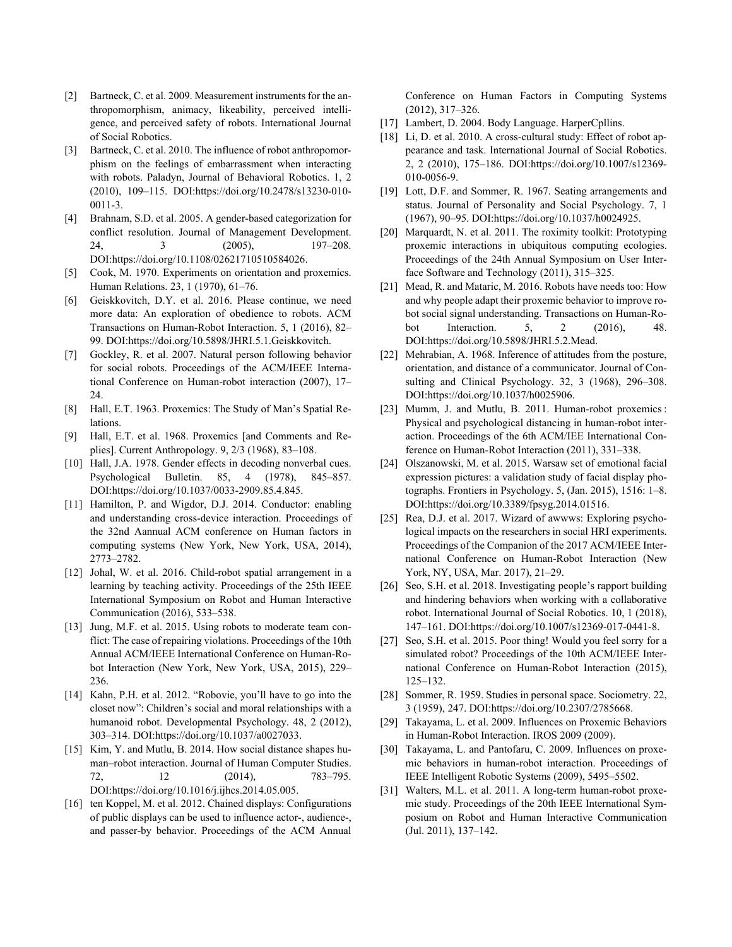- [2] Bartneck, C. et al. 2009. Measurement instruments for the anthropomorphism, animacy, likeability, perceived intelligence, and perceived safety of robots. International Journal of Social Robotics.
- [3] Bartneck, C. et al. 2010. The influence of robot anthropomorphism on the feelings of embarrassment when interacting with robots. Paladyn, Journal of Behavioral Robotics. 1, 2 (2010), 109–115. DOI:https://doi.org/10.2478/s13230-010- 0011-3.
- [4] Brahnam, S.D. et al. 2005. A gender-based categorization for conflict resolution. Journal of Management Development. 24, 3 (2005), 197–208. DOI:https://doi.org/10.1108/02621710510584026.
- [5] Cook, M. 1970. Experiments on orientation and proxemics. Human Relations. 23, 1 (1970), 61–76.
- [6] Geiskkovitch, D.Y. et al. 2016. Please continue, we need more data: An exploration of obedience to robots. ACM Transactions on Human-Robot Interaction. 5, 1 (2016), 82– 99. DOI:https://doi.org/10.5898/JHRI.5.1.Geiskkovitch.
- [7] Gockley, R. et al. 2007. Natural person following behavior for social robots. Proceedings of the ACM/IEEE International Conference on Human-robot interaction (2007), 17– 24.
- [8] Hall, E.T. 1963. Proxemics: The Study of Man's Spatial Relations.
- [9] Hall, E.T. et al. 1968. Proxemics [and Comments and Replies]. Current Anthropology. 9, 2/3 (1968), 83–108.
- [10] Hall, J.A. 1978. Gender effects in decoding nonverbal cues. Psychological Bulletin. 85, 4 (1978), 845–857. DOI:https://doi.org/10.1037/0033-2909.85.4.845.
- [11] Hamilton, P. and Wigdor, D.J. 2014. Conductor: enabling and understanding cross-device interaction. Proceedings of the 32nd Aannual ACM conference on Human factors in computing systems (New York, New York, USA, 2014), 2773–2782.
- [12] Johal, W. et al. 2016. Child-robot spatial arrangement in a learning by teaching activity. Proceedings of the 25th IEEE International Symposium on Robot and Human Interactive Communication (2016), 533–538.
- [13] Jung, M.F. et al. 2015. Using robots to moderate team conflict: The case of repairing violations. Proceedings of the 10th Annual ACM/IEEE International Conference on Human-Robot Interaction (New York, New York, USA, 2015), 229– 236.
- [14] Kahn, P.H. et al. 2012. "Robovie, you'll have to go into the closet now": Children's social and moral relationships with a humanoid robot. Developmental Psychology. 48, 2 (2012), 303–314. DOI:https://doi.org/10.1037/a0027033.
- [15] Kim, Y. and Mutlu, B. 2014. How social distance shapes human–robot interaction. Journal of Human Computer Studies. 72, 12 (2014), 783–795. DOI:https://doi.org/10.1016/j.ijhcs.2014.05.005.
- [16] ten Koppel, M. et al. 2012. Chained displays: Configurations of public displays can be used to influence actor-, audience-, and passer-by behavior. Proceedings of the ACM Annual

Conference on Human Factors in Computing Systems (2012), 317–326.

- [17] Lambert, D. 2004. Body Language. HarperCpllins.
- [18] Li, D. et al. 2010. A cross-cultural study: Effect of robot appearance and task. International Journal of Social Robotics. 2, 2 (2010), 175–186. DOI:https://doi.org/10.1007/s12369- 010-0056-9.
- [19] Lott, D.F. and Sommer, R. 1967. Seating arrangements and status. Journal of Personality and Social Psychology. 7, 1 (1967), 90–95. DOI:https://doi.org/10.1037/h0024925.
- [20] Marquardt, N. et al. 2011. The roximity toolkit: Prototyping proxemic interactions in ubiquitous computing ecologies. Proceedings of the 24th Annual Symposium on User Interface Software and Technology (2011), 315–325.
- [21] Mead, R. and Mataric, M. 2016. Robots have needs too: How and why people adapt their proxemic behavior to improve robot social signal understanding. Transactions on Human-Robot Interaction. 5, 2 (2016), 48. DOI:https://doi.org/10.5898/JHRI.5.2.Mead.
- [22] Mehrabian, A. 1968. Inference of attitudes from the posture, orientation, and distance of a communicator. Journal of Consulting and Clinical Psychology. 32, 3 (1968), 296–308. DOI:https://doi.org/10.1037/h0025906.
- [23] Mumm, J. and Mutlu, B. 2011. Human-robot proxemics : Physical and psychological distancing in human-robot interaction. Proceedings of the 6th ACM/IEE International Conference on Human-Robot Interaction (2011), 331–338.
- [24] Olszanowski, M. et al. 2015. Warsaw set of emotional facial expression pictures: a validation study of facial display photographs. Frontiers in Psychology. 5, (Jan. 2015), 1516: 1–8. DOI:https://doi.org/10.3389/fpsyg.2014.01516.
- [25] Rea, D.J. et al. 2017. Wizard of awwws: Exploring psychological impacts on the researchers in social HRI experiments. Proceedings of the Companion of the 2017 ACM/IEEE International Conference on Human-Robot Interaction (New York, NY, USA, Mar. 2017), 21–29.
- [26] Seo, S.H. et al. 2018. Investigating people's rapport building and hindering behaviors when working with a collaborative robot. International Journal of Social Robotics. 10, 1 (2018), 147–161. DOI:https://doi.org/10.1007/s12369-017-0441-8.
- [27] Seo, S.H. et al. 2015. Poor thing! Would you feel sorry for a simulated robot? Proceedings of the 10th ACM/IEEE International Conference on Human-Robot Interaction (2015), 125–132.
- [28] Sommer, R. 1959. Studies in personal space. Sociometry. 22, 3 (1959), 247. DOI:https://doi.org/10.2307/2785668.
- [29] Takayama, L. et al. 2009. Influences on Proxemic Behaviors in Human-Robot Interaction. IROS 2009 (2009).
- [30] Takayama, L. and Pantofaru, C. 2009. Influences on proxemic behaviors in human-robot interaction. Proceedings of IEEE Intelligent Robotic Systems (2009), 5495–5502.
- [31] Walters, M.L. et al. 2011. A long-term human-robot proxemic study. Proceedings of the 20th IEEE International Symposium on Robot and Human Interactive Communication (Jul. 2011), 137–142.